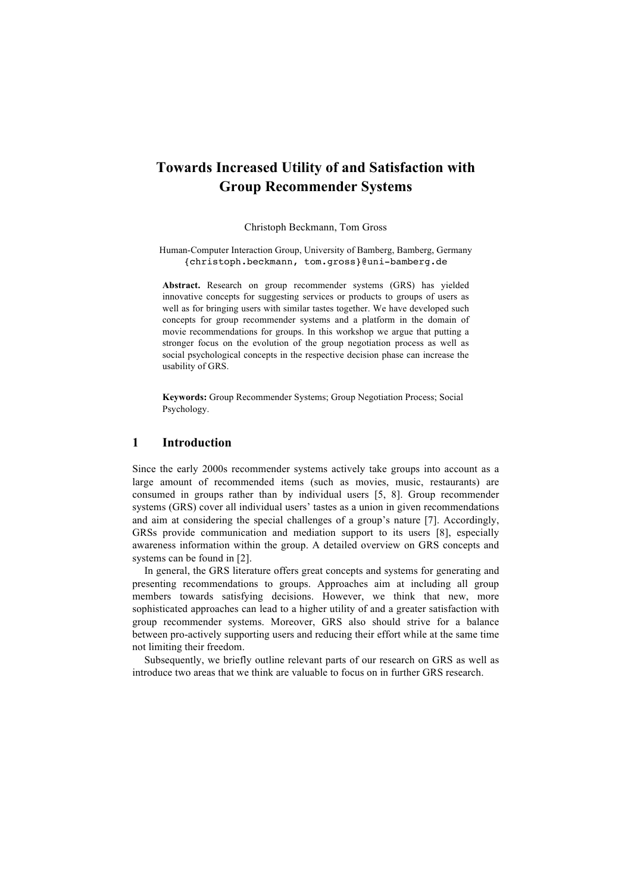# **Towards Increased Utility of and Satisfaction with Group Recommender Systems**

Christoph Beckmann, Tom Gross

Human-Computer Interaction Group, University of Bamberg, Bamberg, Germany {christoph.beckmann, tom.gross}@uni-bamberg.de

**Abstract.** Research on group recommender systems (GRS) has yielded innovative concepts for suggesting services or products to groups of users as well as for bringing users with similar tastes together. We have developed such concepts for group recommender systems and a platform in the domain of movie recommendations for groups. In this workshop we argue that putting a stronger focus on the evolution of the group negotiation process as well as social psychological concepts in the respective decision phase can increase the usability of GRS.

**Keywords:** Group Recommender Systems; Group Negotiation Process; Social Psychology.

## **1 Introduction**

Since the early 2000s recommender systems actively take groups into account as a large amount of recommended items (such as movies, music, restaurants) are consumed in groups rather than by individual users [5, 8]. Group recommender systems (GRS) cover all individual users' tastes as a union in given recommendations and aim at considering the special challenges of a group's nature [7]. Accordingly, GRSs provide communication and mediation support to its users [8], especially awareness information within the group. A detailed overview on GRS concepts and systems can be found in [2].

In general, the GRS literature offers great concepts and systems for generating and presenting recommendations to groups. Approaches aim at including all group members towards satisfying decisions. However, we think that new, more sophisticated approaches can lead to a higher utility of and a greater satisfaction with group recommender systems. Moreover, GRS also should strive for a balance between pro-actively supporting users and reducing their effort while at the same time not limiting their freedom.

Subsequently, we briefly outline relevant parts of our research on GRS as well as introduce two areas that we think are valuable to focus on in further GRS research.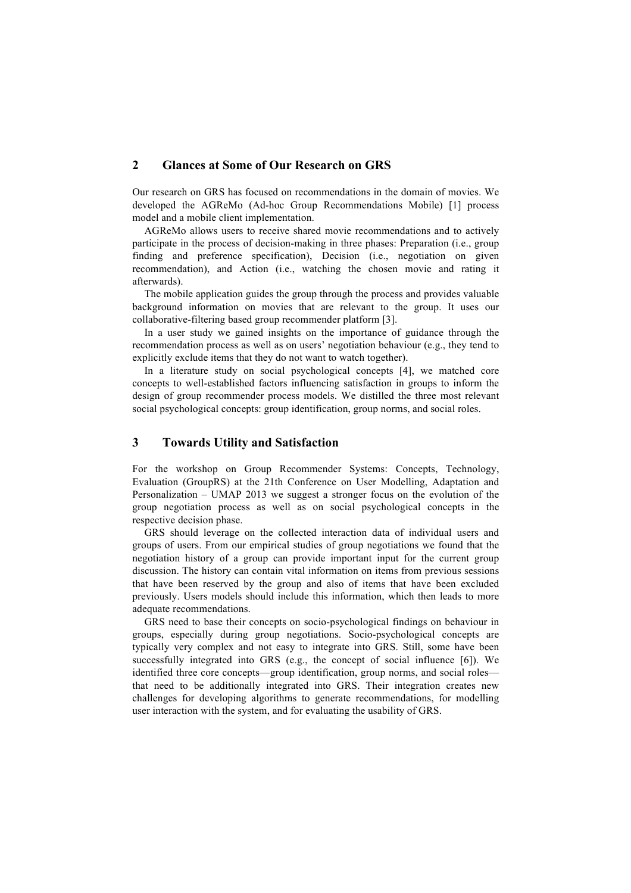# **2 Glances at Some of Our Research on GRS**

Our research on GRS has focused on recommendations in the domain of movies. We developed the AGReMo (Ad-hoc Group Recommendations Mobile) [1] process model and a mobile client implementation.

AGReMo allows users to receive shared movie recommendations and to actively participate in the process of decision-making in three phases: Preparation (i.e., group finding and preference specification), Decision (i.e., negotiation on given recommendation), and Action (i.e., watching the chosen movie and rating it afterwards).

The mobile application guides the group through the process and provides valuable background information on movies that are relevant to the group. It uses our collaborative-filtering based group recommender platform [3].

In a user study we gained insights on the importance of guidance through the recommendation process as well as on users' negotiation behaviour (e.g., they tend to explicitly exclude items that they do not want to watch together).

In a literature study on social psychological concepts [4], we matched core concepts to well-established factors influencing satisfaction in groups to inform the design of group recommender process models. We distilled the three most relevant social psychological concepts: group identification, group norms, and social roles.

## **3 Towards Utility and Satisfaction**

For the workshop on Group Recommender Systems: Concepts, Technology, Evaluation (GroupRS) at the 21th Conference on User Modelling, Adaptation and Personalization – UMAP 2013 we suggest a stronger focus on the evolution of the group negotiation process as well as on social psychological concepts in the respective decision phase.

GRS should leverage on the collected interaction data of individual users and groups of users. From our empirical studies of group negotiations we found that the negotiation history of a group can provide important input for the current group discussion. The history can contain vital information on items from previous sessions that have been reserved by the group and also of items that have been excluded previously. Users models should include this information, which then leads to more adequate recommendations.

GRS need to base their concepts on socio-psychological findings on behaviour in groups, especially during group negotiations. Socio-psychological concepts are typically very complex and not easy to integrate into GRS. Still, some have been successfully integrated into GRS (e.g., the concept of social influence [6]). We identified three core concepts—group identification, group norms, and social roles that need to be additionally integrated into GRS. Their integration creates new challenges for developing algorithms to generate recommendations, for modelling user interaction with the system, and for evaluating the usability of GRS.